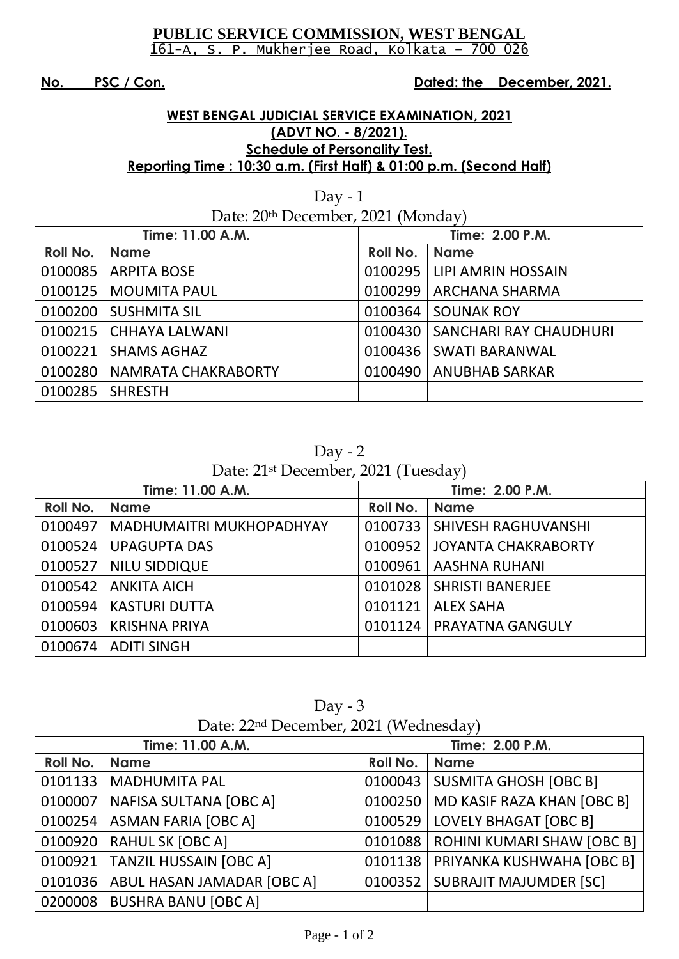### **PUBLIC SERVICE COMMISSION, WEST BENGAL** 161-A, S. P. Mukherjee Road, Kolkata – 700 026

**No. PSC / Con. Dated: the December, 2021.**

## **WEST BENGAL JUDICIAL SERVICE EXAMINATION, 2021 (ADVT NO. - 8/2021). Schedule of Personality Test. Reporting Time : 10:30 a.m. (First Half) & 01:00 p.m. (Second Half)**

| Day - $1$                          |                       |                 |                        |  |
|------------------------------------|-----------------------|-----------------|------------------------|--|
| Date: 20th December, 2021 (Monday) |                       |                 |                        |  |
| Time: 11.00 A.M.                   |                       | Time: 2.00 P.M. |                        |  |
| Roll No.                           | <b>Name</b>           | Roll No.        | <b>Name</b>            |  |
| 0100085                            | <b>ARPITA BOSE</b>    | 0100295         | LIPI AMRIN HOSSAIN     |  |
| 0100125                            | <b>MOUMITA PAUL</b>   | 0100299         | <b>ARCHANA SHARMA</b>  |  |
| 0100200                            | <b>SUSHMITA SIL</b>   | 0100364         | <b>SOUNAK ROY</b>      |  |
| 0100215                            | <b>CHHAYA LALWANI</b> | 0100430         | SANCHARI RAY CHAUDHURI |  |
| 0100221                            | <b>SHAMS AGHAZ</b>    | 0100436         | <b>SWATI BARANWAL</b>  |  |
| 0100280                            | NAMRATA CHAKRABORTY   | 0100490         | <b>ANUBHAB SARKAR</b>  |  |
| 0100285                            | <b>SHRESTH</b>        |                 |                        |  |

Day - 2

Date: 21st December, 2021 (Tuesday)

| Time: 11.00 A.M. |                                 | Time: 2.00 P.M. |                            |
|------------------|---------------------------------|-----------------|----------------------------|
| <b>Roll No.</b>  | <b>Name</b>                     | Roll No.        | <b>Name</b>                |
| 0100497          | <b>MADHUMAITRI MUKHOPADHYAY</b> | 0100733         | <b>SHIVESH RAGHUVANSHI</b> |
| 0100524          | <b>UPAGUPTA DAS</b>             | 0100952         | <b>JOYANTA CHAKRABORTY</b> |
| 0100527          | <b>NILU SIDDIQUE</b>            | 0100961         | <b>AASHNA RUHANI</b>       |
| 0100542          | <b>ANKITA AICH</b>              | 0101028         | <b>SHRISTI BANERJEE</b>    |
| 0100594          | <b>KASTURI DUTTA</b>            | 0101121         | <b>ALEX SAHA</b>           |
| 0100603          | <b>KRISHNA PRIYA</b>            | 0101124         | PRAYATNA GANGULY           |
| 0100674          | <b>ADITI SINGH</b>              |                 |                            |

| Day $-3$                                          |  |
|---------------------------------------------------|--|
| Date: 22 <sup>nd</sup> December, 2021 (Wednesday) |  |

| Time: 11.00 A.M. |                               | Time: 2.00 P.M. |                                   |
|------------------|-------------------------------|-----------------|-----------------------------------|
| Roll No.         | <b>Name</b>                   | <b>Roll No.</b> | <b>Name</b>                       |
| 0101133          | <b>MADHUMITA PAL</b>          | 0100043         | <b>SUSMITA GHOSH [OBC B]</b>      |
| 0100007          | <b>NAFISA SULTANA [OBC A]</b> | 0100250         | MD KASIF RAZA KHAN [OBC B]        |
| 0100254          | <b>ASMAN FARIA [OBC A]</b>    | 0100529         | <b>LOVELY BHAGAT [OBC B]</b>      |
| 0100920          | <b>RAHUL SK [OBC A]</b>       | 0101088         | <b>ROHINI KUMARI SHAW [OBC B]</b> |
| 0100921          | <b>TANZIL HUSSAIN [OBC A]</b> | 0101138         | PRIYANKA KUSHWAHA [OBC B]         |
| 0101036          | ABUL HASAN JAMADAR [OBC A]    | 0100352         | <b>SUBRAJIT MAJUMDER [SC]</b>     |
| 0200008          | <b>BUSHRA BANU [OBC A]</b>    |                 |                                   |